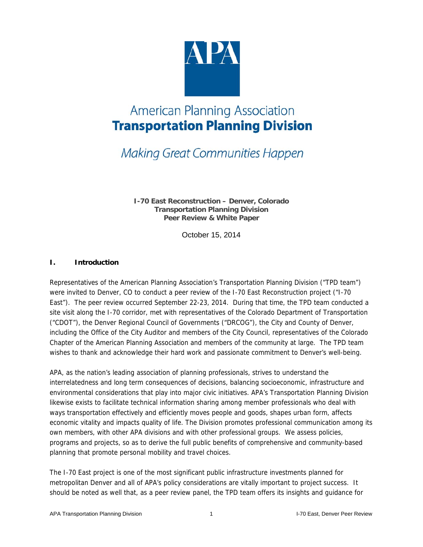

#### **Making Great Communities Happen**

**I-70 East Reconstruction – Denver, Colorado Transportation Planning Division Peer Review & White Paper** 

October 15, 2014

#### **I. Introduction**

Representatives of the American Planning Association's Transportation Planning Division ("TPD team") were invited to Denver, CO to conduct a peer review of the I-70 East Reconstruction project ("I-70 East"). The peer review occurred September 22-23, 2014. During that time, the TPD team conducted a site visit along the I-70 corridor, met with representatives of the Colorado Department of Transportation ("CDOT"), the Denver Regional Council of Governments ("DRCOG"), the City and County of Denver, including the Office of the City Auditor and members of the City Council, representatives of the Colorado Chapter of the American Planning Association and members of the community at large. The TPD team wishes to thank and acknowledge their hard work and passionate commitment to Denver's well-being.

APA, as the nation's leading association of planning professionals, strives to understand the interrelatedness and long term consequences of decisions, balancing socioeconomic, infrastructure and environmental considerations that play into major civic initiatives. APA's Transportation Planning Division likewise exists to facilitate technical information sharing among member professionals who deal with ways transportation effectively and efficiently moves people and goods, shapes urban form, affects economic vitality and impacts quality of life. The Division promotes professional communication among its own members, with other APA divisions and with other professional groups. We assess policies, programs and projects, so as to derive the full public benefits of comprehensive and community-based planning that promote personal mobility and travel choices.

The I-70 East project is one of the most significant public infrastructure investments planned for metropolitan Denver and all of APA's policy considerations are vitally important to project success. It should be noted as well that, as a peer review panel, the TPD team offers its insights and guidance for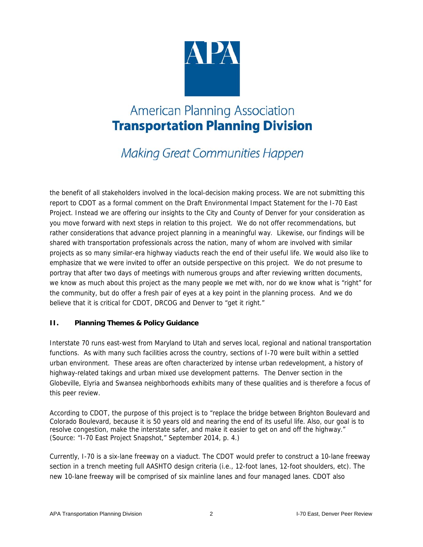

**Making Great Communities Happen** 

the benefit of all stakeholders involved in the local-decision making process. We are not submitting this report to CDOT as a formal comment on the Draft Environmental Impact Statement for the I-70 East Project. Instead we are offering our insights to the City and County of Denver for your consideration as you move forward with next steps in relation to this project. We do not offer recommendations, but rather considerations that advance project planning in a meaningful way. Likewise, our findings will be shared with transportation professionals across the nation, many of whom are involved with similar projects as so many similar-era highway viaducts reach the end of their useful life. We would also like to emphasize that we were invited to offer an outside perspective on this project. We do not presume to portray that after two days of meetings with numerous groups and after reviewing written documents, we know as much about this project as the many people we met with, nor do we know what is "right" for the community, but do offer a fresh pair of eyes at a key point in the planning process. And we do believe that it is critical for CDOT, DRCOG and Denver to "get it right."

#### **II. Planning Themes & Policy Guidance**

Interstate 70 runs east-west from Maryland to Utah and serves local, regional and national transportation functions. As with many such facilities across the country, sections of I-70 were built within a settled urban environment. These areas are often characterized by intense urban redevelopment, a history of highway-related takings and urban mixed use development patterns. The Denver section in the Globeville, Elyria and Swansea neighborhoods exhibits many of these qualities and is therefore a focus of this peer review.

According to CDOT, the purpose of this project is to "replace the bridge between Brighton Boulevard and Colorado Boulevard, because it is 50 years old and nearing the end of its useful life. Also, our goal is to resolve congestion, make the interstate safer, and make it easier to get on and off the highway." (Source: "I-70 East Project Snapshot," September 2014, p. 4.)

Currently, I-70 is a six-lane freeway on a viaduct. The CDOT would prefer to construct a 10-lane freeway section in a trench meeting full AASHTO design criteria (i.e., 12-foot lanes, 12-foot shoulders, etc). The new 10-lane freeway will be comprised of six mainline lanes and four managed lanes. CDOT also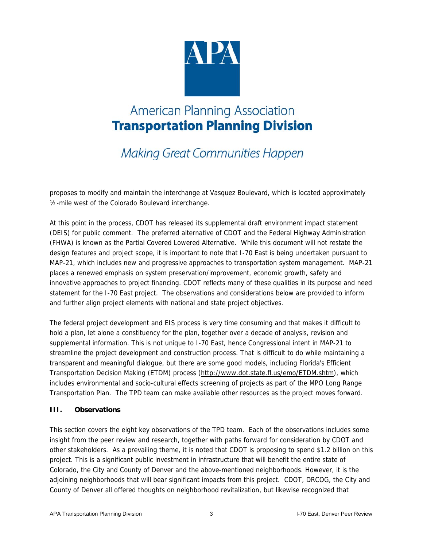

**Making Great Communities Happen** 

proposes to modify and maintain the interchange at Vasquez Boulevard, which is located approximately ½-mile west of the Colorado Boulevard interchange.

At this point in the process, CDOT has released its supplemental draft environment impact statement (DEIS) for public comment. The preferred alternative of CDOT and the Federal Highway Administration (FHWA) is known as the Partial Covered Lowered Alternative. While this document will not restate the design features and project scope, it is important to note that I-70 East is being undertaken pursuant to MAP-21, which includes new and progressive approaches to transportation system management. MAP-21 places a renewed emphasis on system preservation/improvement, economic growth, safety and innovative approaches to project financing. CDOT reflects many of these qualities in its purpose and need statement for the I-70 East project. The observations and considerations below are provided to inform and further align project elements with national and state project objectives.

The federal project development and EIS process is very time consuming and that makes it difficult to hold a plan, let alone a constituency for the plan, together over a decade of analysis, revision and supplemental information. This is not unique to I-70 East, hence Congressional intent in MAP-21 to streamline the project development and construction process. That is difficult to do while maintaining a transparent and meaningful dialogue, but there are some good models, including Florida's Efficient Transportation Decision Making (ETDM) process (http://www.dot.state.fl.us/emo/ETDM.shtm), which includes environmental and socio-cultural effects screening of projects as part of the MPO Long Range Transportation Plan. The TPD team can make available other resources as the project moves forward.

#### **III. Observations**

This section covers the eight key observations of the TPD team. Each of the observations includes some insight from the peer review and research, together with paths forward for consideration by CDOT and other stakeholders. As a prevailing theme, it is noted that CDOT is proposing to spend \$1.2 billion on this project. This is a significant public investment in infrastructure that will benefit the entire state of Colorado, the City and County of Denver and the above-mentioned neighborhoods. However, it is the adjoining neighborhoods that will bear significant impacts from this project. CDOT, DRCOG, the City and County of Denver all offered thoughts on neighborhood revitalization, but likewise recognized that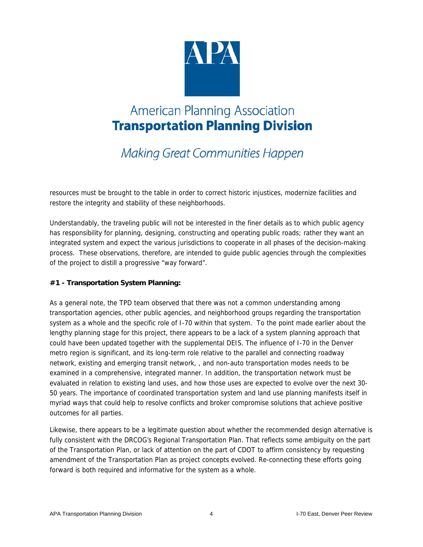

**Making Great Communities Happen** 

resources must be brought to the table in order to correct historic injustices, modernize facilities and restore the integrity and stability of these neighborhoods.

Understandably, the traveling public will not be interested in the finer details as to which public agency has responsibility for planning, designing, constructing and operating public roads; rather they want an integrated system and expect the various jurisdictions to cooperate in all phases of the decision-making process. These observations, therefore, are intended to guide public agencies through the complexities of the project to distill a progressive "way forward".

#### **#1 - Transportation System Planning:**

As a general note, the TPD team observed that there was not a common understanding among transportation agencies, other public agencies, and neighborhood groups regarding the transportation system as a whole and the specific role of I-70 within that system. To the point made earlier about the lengthy planning stage for this project, there appears to be a lack of a system planning approach that could have been updated together with the supplemental DEIS. The influence of I-70 in the Denver metro region is significant, and its long-term role relative to the parallel and connecting roadway network, existing and emerging transit network, , and non-auto transportation modes needs to be examined in a comprehensive, integrated manner. In addition, the transportation network must be evaluated in relation to existing land uses, and how those uses are expected to evolve over the next 30- 50 years. The importance of coordinated transportation system and land use planning manifests itself in myriad ways that could help to resolve conflicts and broker compromise solutions that achieve positive outcomes for all parties.

Likewise, there appears to be a legitimate question about whether the recommended design alternative is fully consistent with the DRCOG's Regional Transportation Plan. That reflects some ambiguity on the part of the Transportation Plan, or lack of attention on the part of CDOT to affirm consistency by requesting amendment of the Transportation Plan as project concepts evolved. Re-connecting these efforts going forward is both required and informative for the system as a whole.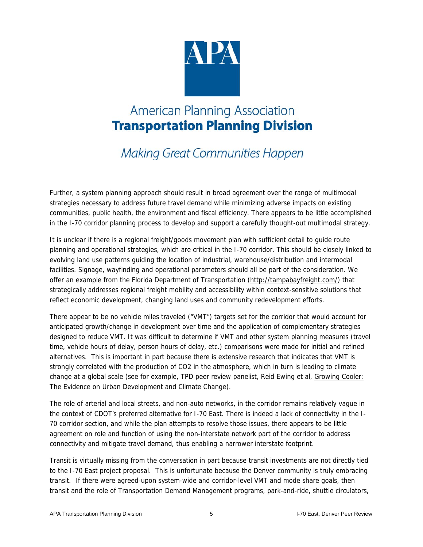

**Making Great Communities Happen** 

Further, a system planning approach should result in broad agreement over the range of multimodal strategies necessary to address future travel demand while minimizing adverse impacts on existing communities, public health, the environment and fiscal efficiency. There appears to be little accomplished in the I-70 corridor planning process to develop and support a carefully thought-out multimodal strategy.

It is unclear if there is a regional freight/goods movement plan with sufficient detail to guide route planning and operational strategies, which are critical in the I-70 corridor. This should be closely linked to evolving land use patterns guiding the location of industrial, warehouse/distribution and intermodal facilities. Signage, wayfinding and operational parameters should all be part of the consideration. We offer an example from the Florida Department of Transportation (http://tampabayfreight.com/) that strategically addresses regional freight mobility and accessibility within context-sensitive solutions that reflect economic development, changing land uses and community redevelopment efforts.

There appear to be no vehicle miles traveled ("VMT") targets set for the corridor that would account for anticipated growth/change in development over time and the application of complementary strategies designed to reduce VMT. It was difficult to determine if VMT and other system planning measures (travel time, vehicle hours of delay, person hours of delay, etc.) comparisons were made for initial and refined alternatives. This is important in part because there is extensive research that indicates that VMT is strongly correlated with the production of CO2 in the atmosphere, which in turn is leading to climate change at a global scale (see for example, TPD peer review panelist, Reid Ewing et al, Growing Cooler: The Evidence on Urban Development and Climate Change).

The role of arterial and local streets, and non-auto networks, in the corridor remains relatively vague in the context of CDOT's preferred alternative for I-70 East. There is indeed a lack of connectivity in the I-70 corridor section, and while the plan attempts to resolve those issues, there appears to be little agreement on role and function of using the non-interstate network part of the corridor to address connectivity and mitigate travel demand, thus enabling a narrower interstate footprint.

Transit is virtually missing from the conversation in part because transit investments are not directly tied to the I-70 East project proposal. This is unfortunate because the Denver community is truly embracing transit. If there were agreed-upon system-wide and corridor-level VMT and mode share goals, then transit and the role of Transportation Demand Management programs, park-and-ride, shuttle circulators,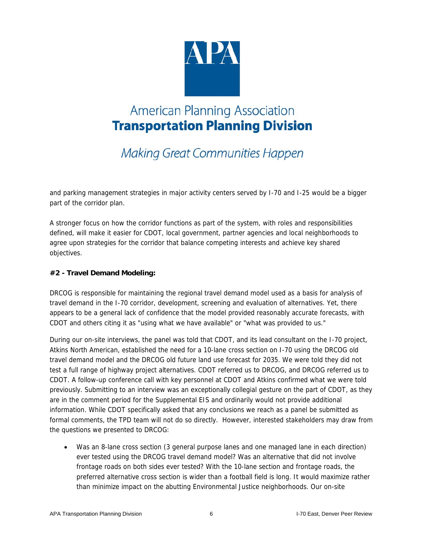

**Making Great Communities Happen** 

and parking management strategies in major activity centers served by I-70 and I-25 would be a bigger part of the corridor plan.

A stronger focus on how the corridor functions as part of the system, with roles and responsibilities defined, will make it easier for CDOT, local government, partner agencies and local neighborhoods to agree upon strategies for the corridor that balance competing interests and achieve key shared objectives.

#### **#2 - Travel Demand Modeling:**

DRCOG is responsible for maintaining the regional travel demand model used as a basis for analysis of travel demand in the I-70 corridor, development, screening and evaluation of alternatives. Yet, there appears to be a general lack of confidence that the model provided reasonably accurate forecasts, with CDOT and others citing it as "using what we have available" or "what was provided to us."

During our on-site interviews, the panel was told that CDOT, and its lead consultant on the I-70 project, Atkins North American, established the need for a 10-lane cross section on I-70 using the DRCOG old travel demand model and the DRCOG old future land use forecast for 2035. We were told they did not test a full range of highway project alternatives. CDOT referred us to DRCOG, and DRCOG referred us to CDOT. A follow-up conference call with key personnel at CDOT and Atkins confirmed what we were told previously. Submitting to an interview was an exceptionally collegial gesture on the part of CDOT, as they are in the comment period for the Supplemental EIS and ordinarily would not provide additional information. While CDOT specifically asked that any conclusions we reach as a panel be submitted as formal comments, the TPD team will not do so directly. However, interested stakeholders may draw from the questions we presented to DRCOG:

 Was an 8-lane cross section (3 general purpose lanes and one managed lane in each direction) ever tested using the DRCOG travel demand model? Was an alternative that did not involve frontage roads on both sides ever tested? With the 10-lane section and frontage roads, the preferred alternative cross section is wider than a football field is long. It would maximize rather than minimize impact on the abutting Environmental Justice neighborhoods. Our on-site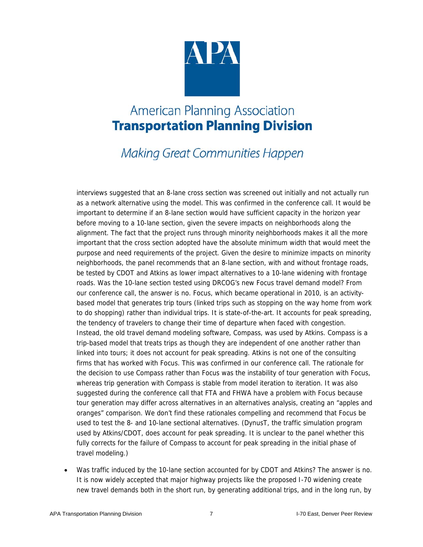

#### **Making Great Communities Happen**

interviews suggested that an 8-lane cross section was screened out initially and not actually run as a network alternative using the model. This was confirmed in the conference call. It would be important to determine if an 8-lane section would have sufficient capacity in the horizon year before moving to a 10-lane section, given the severe impacts on neighborhoods along the alignment. The fact that the project runs through minority neighborhoods makes it all the more important that the cross section adopted have the absolute minimum width that would meet the purpose and need requirements of the project. Given the desire to minimize impacts on minority neighborhoods, the panel recommends that an 8-lane section, with and without frontage roads, be tested by CDOT and Atkins as lower impact alternatives to a 10-lane widening with frontage roads. Was the 10-lane section tested using DRCOG's new Focus travel demand model? From our conference call, the answer is no. Focus, which became operational in 2010, is an activitybased model that generates trip tours (linked trips such as stopping on the way home from work to do shopping) rather than individual trips. It is state-of-the-art. It accounts for peak spreading, the tendency of travelers to change their time of departure when faced with congestion. Instead, the old travel demand modeling software, Compass, was used by Atkins. Compass is a trip-based model that treats trips as though they are independent of one another rather than linked into tours; it does not account for peak spreading. Atkins is not one of the consulting firms that has worked with Focus. This was confirmed in our conference call. The rationale for the decision to use Compass rather than Focus was the instability of tour generation with Focus, whereas trip generation with Compass is stable from model iteration to iteration. It was also suggested during the conference call that FTA and FHWA have a problem with Focus because tour generation may differ across alternatives in an alternatives analysis, creating an "apples and oranges" comparison. We don't find these rationales compelling and recommend that Focus be used to test the 8- and 10-lane sectional alternatives. (DynusT, the traffic simulation program used by Atkins/CDOT, does account for peak spreading. It is unclear to the panel whether this fully corrects for the failure of Compass to account for peak spreading in the initial phase of travel modeling.)

 Was traffic induced by the 10-lane section accounted for by CDOT and Atkins? The answer is no. It is now widely accepted that major highway projects like the proposed I-70 widening create new travel demands both in the short run, by generating additional trips, and in the long run, by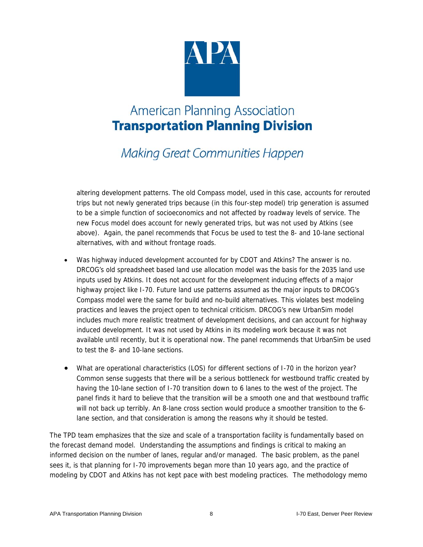

**Making Great Communities Happen** 

altering development patterns. The old Compass model, used in this case, accounts for rerouted trips but not newly generated trips because (in this four-step model) trip generation is assumed to be a simple function of socioeconomics and not affected by roadway levels of service. The new Focus model does account for newly generated trips, but was not used by Atkins (see above). Again, the panel recommends that Focus be used to test the 8- and 10-lane sectional alternatives, with and without frontage roads.

- Was highway induced development accounted for by CDOT and Atkins? The answer is no. DRCOG's old spreadsheet based land use allocation model was the basis for the 2035 land use inputs used by Atkins. It does not account for the development inducing effects of a major highway project like I-70. Future land use patterns assumed as the major inputs to DRCOG's Compass model were the same for build and no-build alternatives. This violates best modeling practices and leaves the project open to technical criticism. DRCOG's new UrbanSim model includes much more realistic treatment of development decisions, and can account for highway induced development. It was not used by Atkins in its modeling work because it was not available until recently, but it is operational now. The panel recommends that UrbanSim be used to test the 8- and 10-lane sections.
- What are operational characteristics (LOS) for different sections of I-70 in the horizon year? Common sense suggests that there will be a serious bottleneck for westbound traffic created by having the 10-lane section of I-70 transition down to 6 lanes to the west of the project. The panel finds it hard to believe that the transition will be a smooth one and that westbound traffic will not back up terribly. An 8-lane cross section would produce a smoother transition to the 6 lane section, and that consideration is among the reasons why it should be tested.

The TPD team emphasizes that the size and scale of a transportation facility is fundamentally based on the forecast demand model. Understanding the assumptions and findings is critical to making an informed decision on the number of lanes, regular and/or managed. The basic problem, as the panel sees it, is that planning for I-70 improvements began more than 10 years ago, and the practice of modeling by CDOT and Atkins has not kept pace with best modeling practices. The methodology memo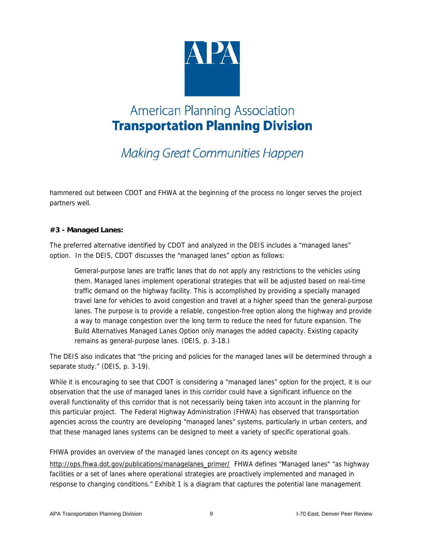

# **Making Great Communities Happen**

hammered out between CDOT and FHWA at the beginning of the process no longer serves the project partners well.

#### **#3 - Managed Lanes:**

The preferred alternative identified by CDOT and analyzed in the DEIS includes a "managed lanes" option. In the DEIS, CDOT discusses the "managed lanes" option as follows:

General-purpose lanes are traffic lanes that do not apply any restrictions to the vehicles using them. Managed lanes implement operational strategies that will be adjusted based on real-time traffic demand on the highway facility. This is accomplished by providing a specially managed travel lane for vehicles to avoid congestion and travel at a higher speed than the general-purpose lanes. The purpose is to provide a reliable, congestion-free option along the highway and provide a way to manage congestion over the long term to reduce the need for future expansion. The Build Alternatives Managed Lanes Option only manages the added capacity. Existing capacity remains as general-purpose lanes. (DEIS, p. 3-18.)

The DEIS also indicates that "the pricing and policies for the managed lanes will be determined through a separate study." (DEIS, p. 3-19).

While it is encouraging to see that CDOT is considering a "managed lanes" option for the project, it is our observation that the use of managed lanes in this corridor could have a significant influence on the overall functionality of this corridor that is not necessarily being taken into account in the planning for this particular project. The Federal Highway Administration (FHWA) has observed that transportation agencies across the country are developing "managed lanes" systems, particularly in urban centers, and that these managed lanes systems can be designed to meet a variety of specific operational goals.

FHWA provides an overview of the managed lanes concept on its agency website

http://ops.fhwa.dot.gov/publications/managelanes\_primer/ FHWA defines "Managed lanes" "as highway facilities or a set of lanes where operational strategies are proactively implemented and managed in response to changing conditions." Exhibit 1 is a diagram that captures the potential lane management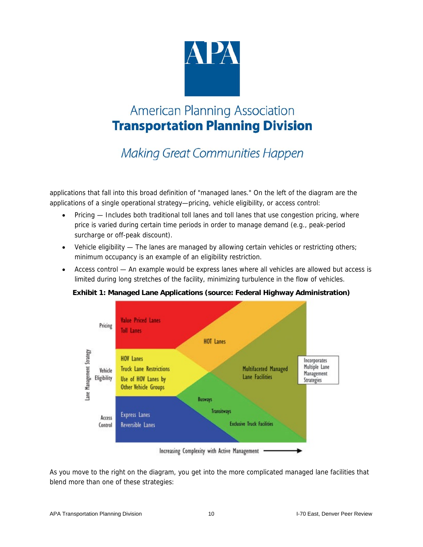

**Making Great Communities Happen** 

applications that fall into this broad definition of "managed lanes." On the left of the diagram are the applications of a single operational strategy—pricing, vehicle eligibility, or access control:

- Pricing Includes both traditional toll lanes and toll lanes that use congestion pricing, where price is varied during certain time periods in order to manage demand (e.g., peak-period surcharge or off-peak discount).
- Vehicle eligibility The lanes are managed by allowing certain vehicles or restricting others; minimum occupancy is an example of an eligibility restriction.
- Access control An example would be express lanes where all vehicles are allowed but access is limited during long stretches of the facility, minimizing turbulence in the flow of vehicles.

#### **Exhibit 1: Managed Lane Applications (source: Federal Highway Administration)**



Increasing Complexity with Active Management

As you move to the right on the diagram, you get into the more complicated managed lane facilities that blend more than one of these strategies: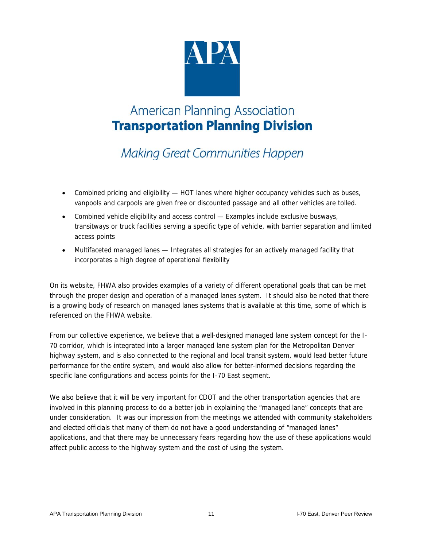

**Making Great Communities Happen** 

- Combined pricing and eligibility HOT lanes where higher occupancy vehicles such as buses, vanpools and carpools are given free or discounted passage and all other vehicles are tolled.
- Combined vehicle eligibility and access control Examples include exclusive busways, transitways or truck facilities serving a specific type of vehicle, with barrier separation and limited access points
- Multifaceted managed lanes Integrates all strategies for an actively managed facility that incorporates a high degree of operational flexibility

On its website, FHWA also provides examples of a variety of different operational goals that can be met through the proper design and operation of a managed lanes system. It should also be noted that there is a growing body of research on managed lanes systems that is available at this time, some of which is referenced on the FHWA website.

From our collective experience, we believe that a well-designed managed lane system concept for the I-70 corridor, which is integrated into a larger managed lane system plan for the Metropolitan Denver highway system, and is also connected to the regional and local transit system, would lead better future performance for the entire system, and would also allow for better-informed decisions regarding the specific lane configurations and access points for the I-70 East segment.

We also believe that it will be very important for CDOT and the other transportation agencies that are involved in this planning process to do a better job in explaining the "managed lane" concepts that are under consideration. It was our impression from the meetings we attended with community stakeholders and elected officials that many of them do not have a good understanding of "managed lanes" applications, and that there may be unnecessary fears regarding how the use of these applications would affect public access to the highway system and the cost of using the system.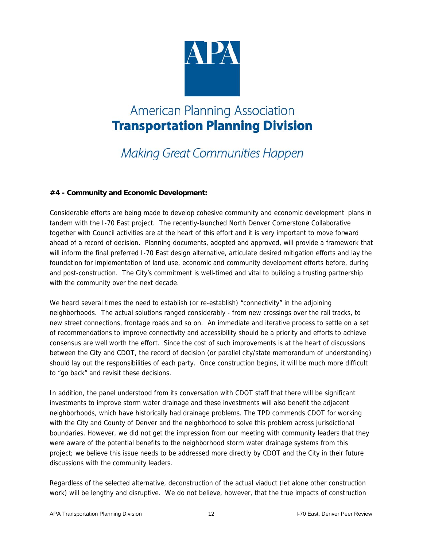

# **Making Great Communities Happen**

#### **#4 - Community and Economic Development:**

Considerable efforts are being made to develop cohesive community and economic development plans in tandem with the I-70 East project. The recently-launched North Denver Cornerstone Collaborative together with Council activities are at the heart of this effort and it is very important to move forward ahead of a record of decision. Planning documents, adopted and approved, will provide a framework that will inform the final preferred I-70 East design alternative, articulate desired mitigation efforts and lay the foundation for implementation of land use, economic and community development efforts before, during and post-construction. The City's commitment is well-timed and vital to building a trusting partnership with the community over the next decade.

We heard several times the need to establish (or re-establish) "connectivity" in the adjoining neighborhoods. The actual solutions ranged considerably - from new crossings over the rail tracks, to new street connections, frontage roads and so on. An immediate and iterative process to settle on a set of recommendations to improve connectivity and accessibility should be a priority and efforts to achieve consensus are well worth the effort. Since the cost of such improvements is at the heart of discussions between the City and CDOT, the record of decision (or parallel city/state memorandum of understanding) should lay out the responsibilities of each party. Once construction begins, it will be much more difficult to "go back" and revisit these decisions.

In addition, the panel understood from its conversation with CDOT staff that there will be significant investments to improve storm water drainage and these investments will also benefit the adjacent neighborhoods, which have historically had drainage problems. The TPD commends CDOT for working with the City and County of Denver and the neighborhood to solve this problem across jurisdictional boundaries. However, we did not get the impression from our meeting with community leaders that they were aware of the potential benefits to the neighborhood storm water drainage systems from this project; we believe this issue needs to be addressed more directly by CDOT and the City in their future discussions with the community leaders.

Regardless of the selected alternative, deconstruction of the actual viaduct (let alone other construction work) will be lengthy and disruptive. We do not believe, however, that the true impacts of construction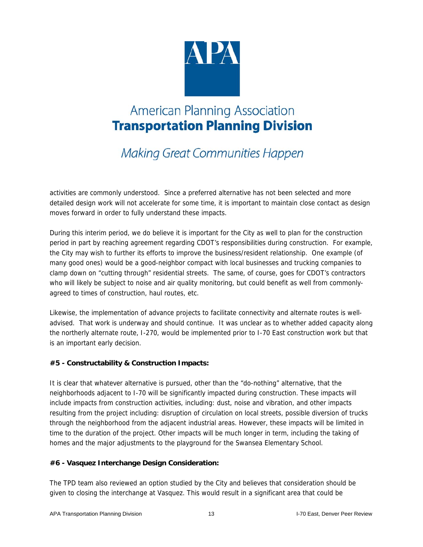

**Making Great Communities Happen** 

activities are commonly understood. Since a preferred alternative has not been selected and more detailed design work will not accelerate for some time, it is important to maintain close contact as design moves forward in order to fully understand these impacts.

During this interim period, we do believe it is important for the City as well to plan for the construction period in part by reaching agreement regarding CDOT's responsibilities during construction. For example, the City may wish to further its efforts to improve the business/resident relationship. One example (of many good ones) would be a good-neighbor compact with local businesses and trucking companies to clamp down on "cutting through" residential streets. The same, of course, goes for CDOT's contractors who will likely be subject to noise and air quality monitoring, but could benefit as well from commonlyagreed to times of construction, haul routes, etc.

Likewise, the implementation of advance projects to facilitate connectivity and alternate routes is welladvised. That work is underway and should continue. It was unclear as to whether added capacity along the northerly alternate route, I-270, would be implemented prior to I-70 East construction work but that is an important early decision.

#### **#5 - Constructability & Construction Impacts:**

It is clear that whatever alternative is pursued, other than the "do-nothing" alternative, that the neighborhoods adjacent to I-70 will be significantly impacted during construction. These impacts will include impacts from construction activities, including: dust, noise and vibration, and other impacts resulting from the project including: disruption of circulation on local streets, possible diversion of trucks through the neighborhood from the adjacent industrial areas. However, these impacts will be limited in time to the duration of the project. Other impacts will be much longer in term, including the taking of homes and the major adjustments to the playground for the Swansea Elementary School.

#### **#6 - Vasquez Interchange Design Consideration:**

The TPD team also reviewed an option studied by the City and believes that consideration should be given to closing the interchange at Vasquez. This would result in a significant area that could be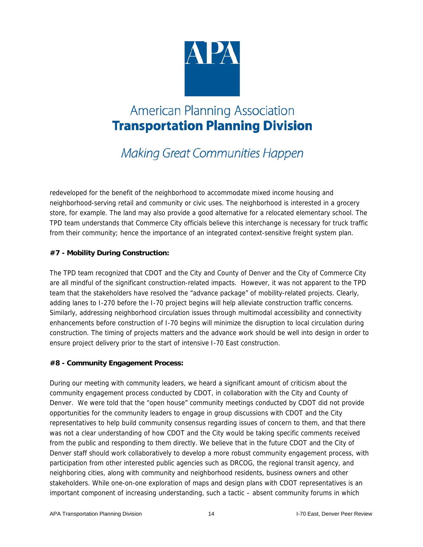

**Making Great Communities Happen** 

redeveloped for the benefit of the neighborhood to accommodate mixed income housing and neighborhood-serving retail and community or civic uses. The neighborhood is interested in a grocery store, for example. The land may also provide a good alternative for a relocated elementary school. The TPD team understands that Commerce City officials believe this interchange is necessary for truck traffic from their community; hence the importance of an integrated context-sensitive freight system plan.

#### **#7 - Mobility During Construction:**

The TPD team recognized that CDOT and the City and County of Denver and the City of Commerce City are all mindful of the significant construction-related impacts. However, it was not apparent to the TPD team that the stakeholders have resolved the "advance package" of mobility-related projects. Clearly, adding lanes to I-270 before the I-70 project begins will help alleviate construction traffic concerns. Similarly, addressing neighborhood circulation issues through multimodal accessibility and connectivity enhancements before construction of I-70 begins will minimize the disruption to local circulation during construction. The timing of projects matters and the advance work should be well into design in order to ensure project delivery prior to the start of intensive I-70 East construction.

#### **#8 - Community Engagement Process:**

During our meeting with community leaders, we heard a significant amount of criticism about the community engagement process conducted by CDOT, in collaboration with the City and County of Denver. We were told that the "open house" community meetings conducted by CDOT did not provide opportunities for the community leaders to engage in group discussions with CDOT and the City representatives to help build community consensus regarding issues of concern to them, and that there was not a clear understanding of how CDOT and the City would be taking specific comments received from the public and responding to them directly. We believe that in the future CDOT and the City of Denver staff should work collaboratively to develop a more robust community engagement process, with participation from other interested public agencies such as DRCOG, the regional transit agency, and neighboring cities, along with community and neighborhood residents, business owners and other stakeholders. While one-on-one exploration of maps and design plans with CDOT representatives is an important component of increasing understanding, such a tactic – absent community forums in which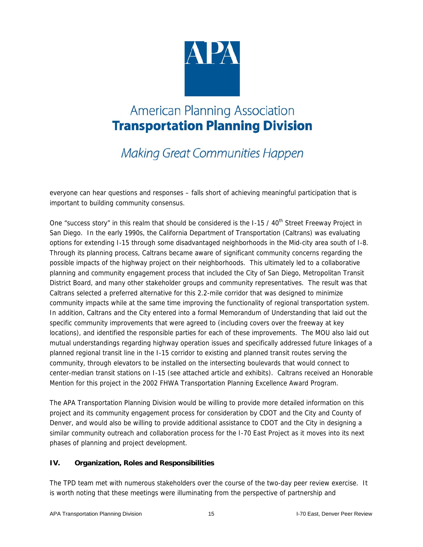

**Making Great Communities Happen** 

everyone can hear questions and responses – falls short of achieving meaningful participation that is important to building community consensus.

One "success story" in this realm that should be considered is the I-15 / 40<sup>th</sup> Street Freeway Project in San Diego. In the early 1990s, the California Department of Transportation (Caltrans) was evaluating options for extending I-15 through some disadvantaged neighborhoods in the Mid-city area south of I-8. Through its planning process, Caltrans became aware of significant community concerns regarding the possible impacts of the highway project on their neighborhoods. This ultimately led to a collaborative planning and community engagement process that included the City of San Diego, Metropolitan Transit District Board, and many other stakeholder groups and community representatives. The result was that Caltrans selected a preferred alternative for this 2.2-mile corridor that was designed to minimize community impacts while at the same time improving the functionality of regional transportation system. In addition, Caltrans and the City entered into a formal Memorandum of Understanding that laid out the specific community improvements that were agreed to (including covers over the freeway at key locations), and identified the responsible parties for each of these improvements. The MOU also laid out mutual understandings regarding highway operation issues and specifically addressed future linkages of a planned regional transit line in the I-15 corridor to existing and planned transit routes serving the community, through elevators to be installed on the intersecting boulevards that would connect to center-median transit stations on I-15 (see attached article and exhibits). Caltrans received an Honorable Mention for this project in the 2002 FHWA Transportation Planning Excellence Award Program.

The APA Transportation Planning Division would be willing to provide more detailed information on this project and its community engagement process for consideration by CDOT and the City and County of Denver, and would also be willing to provide additional assistance to CDOT and the City in designing a similar community outreach and collaboration process for the I-70 East Project as it moves into its next phases of planning and project development.

#### **IV. Organization, Roles and Responsibilities**

The TPD team met with numerous stakeholders over the course of the two-day peer review exercise. It is worth noting that these meetings were illuminating from the perspective of partnership and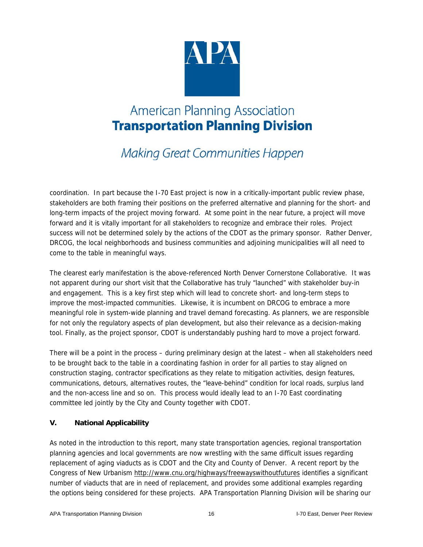

**Making Great Communities Happen** 

coordination. In part because the I-70 East project is now in a critically-important public review phase, stakeholders are both framing their positions on the preferred alternative and planning for the short- and long-term impacts of the project moving forward. At some point in the near future, a project will move forward and it is vitally important for all stakeholders to recognize and embrace their roles. Project success will not be determined solely by the actions of the CDOT as the primary sponsor. Rather Denver, DRCOG, the local neighborhoods and business communities and adjoining municipalities will all need to come to the table in meaningful ways.

The clearest early manifestation is the above-referenced North Denver Cornerstone Collaborative. It was not apparent during our short visit that the Collaborative has truly "launched" with stakeholder buy-in and engagement. This is a key first step which will lead to concrete short- and long-term steps to improve the most-impacted communities. Likewise, it is incumbent on DRCOG to embrace a more meaningful role in system-wide planning and travel demand forecasting. As planners, we are responsible for not only the regulatory aspects of plan development, but also their relevance as a decision-making tool. Finally, as the project sponsor, CDOT is understandably pushing hard to move a project forward.

There will be a point in the process – during preliminary design at the latest – when all stakeholders need to be brought back to the table in a coordinating fashion in order for all parties to stay aligned on construction staging, contractor specifications as they relate to mitigation activities, design features, communications, detours, alternatives routes, the "leave-behind" condition for local roads, surplus land and the non-access line and so on. This process would ideally lead to an I-70 East coordinating committee led jointly by the City and County together with CDOT.

#### **V. National Applicability**

As noted in the introduction to this report, many state transportation agencies, regional transportation planning agencies and local governments are now wrestling with the same difficult issues regarding replacement of aging viaducts as is CDOT and the City and County of Denver. A recent report by the Congress of New Urbanism http://www.cnu.org/highways/freewayswithoutfutures identifies a significant number of viaducts that are in need of replacement, and provides some additional examples regarding the options being considered for these projects. APA Transportation Planning Division will be sharing our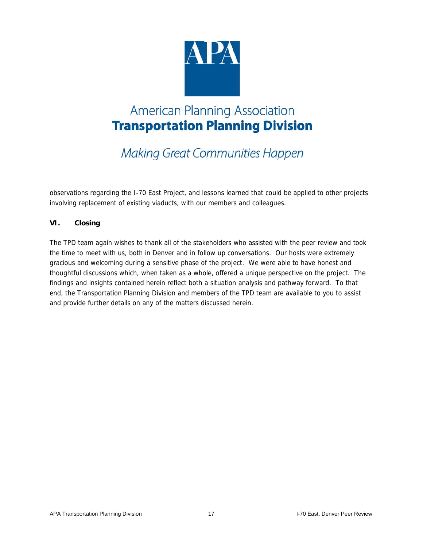

**Making Great Communities Happen** 

observations regarding the I-70 East Project, and lessons learned that could be applied to other projects involving replacement of existing viaducts, with our members and colleagues.

#### **VI. Closing**

The TPD team again wishes to thank all of the stakeholders who assisted with the peer review and took the time to meet with us, both in Denver and in follow up conversations. Our hosts were extremely gracious and welcoming during a sensitive phase of the project. We were able to have honest and thoughtful discussions which, when taken as a whole, offered a unique perspective on the project. The findings and insights contained herein reflect both a situation analysis and pathway forward. To that end, the Transportation Planning Division and members of the TPD team are available to you to assist and provide further details on any of the matters discussed herein.